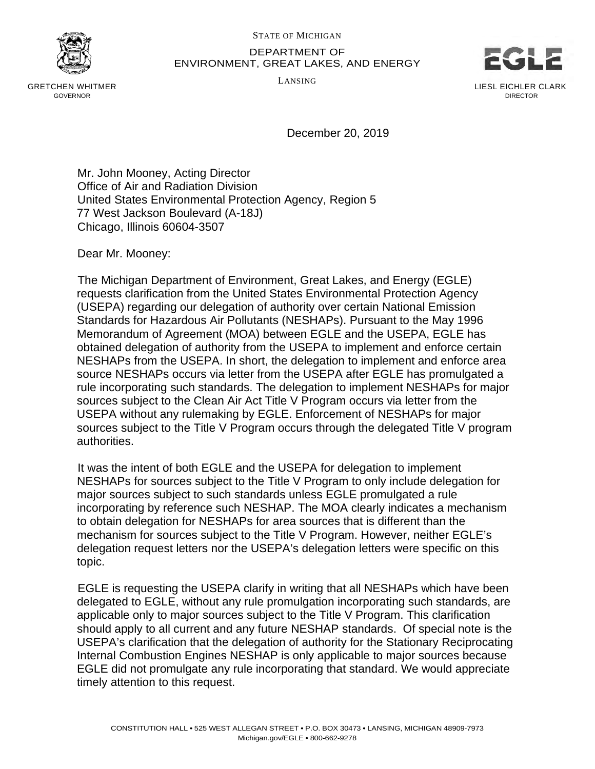

GRETCHEN WHITMER GOVERNOR

## STATE OF MICHIGAN DEPARTMENT OF ENVIRONMENT, GREAT LAKES, AND ENERGY

LANSING



December 20, 2019

Mr. John Mooney, Acting Director Office of Air and Radiation Division United States Environmental Protection Agency, Region 5 77 West Jackson Boulevard (A-18J) Chicago, Illinois 60604-3507

Dear Mr. Mooney:

The Michigan Department of Environment, Great Lakes, and Energy (EGLE) requests clarification from the United States Environmental Protection Agency (USEPA) regarding our delegation of authority over certain National Emission Standards for Hazardous Air Pollutants (NESHAPs). Pursuant to the May 1996 Memorandum of Agreement (MOA) between EGLE and the USEPA, EGLE has obtained delegation of authority from the USEPA to implement and enforce certain NESHAPs from the USEPA. In short, the delegation to implement and enforce area source NESHAPs occurs via letter from the USEPA after EGLE has promulgated a rule incorporating such standards. The delegation to implement NESHAPs for major sources subject to the Clean Air Act Title V Program occurs via letter from the USEPA without any rulemaking by EGLE. Enforcement of NESHAPs for major sources subject to the Title V Program occurs through the delegated Title V program authorities.

It was the intent of both EGLE and the USEPA for delegation to implement NESHAPs for sources subject to the Title V Program to only include delegation for major sources subject to such standards unless EGLE promulgated a rule incorporating by reference such NESHAP. The MOA clearly indicates a mechanism to obtain delegation for NESHAPs for area sources that is different than the mechanism for sources subject to the Title V Program. However, neither EGLE's delegation request letters nor the USEPA's delegation letters were specific on this topic.

EGLE is requesting the USEPA clarify in writing that all NESHAPs which have been delegated to EGLE, without any rule promulgation incorporating such standards, are applicable only to major sources subject to the Title V Program. This clarification should apply to all current and any future NESHAP standards. Of special note is the USEPA's clarification that the delegation of authority for the Stationary Reciprocating Internal Combustion Engines NESHAP is only applicable to major sources because EGLE did not promulgate any rule incorporating that standard. We would appreciate timely attention to this request.